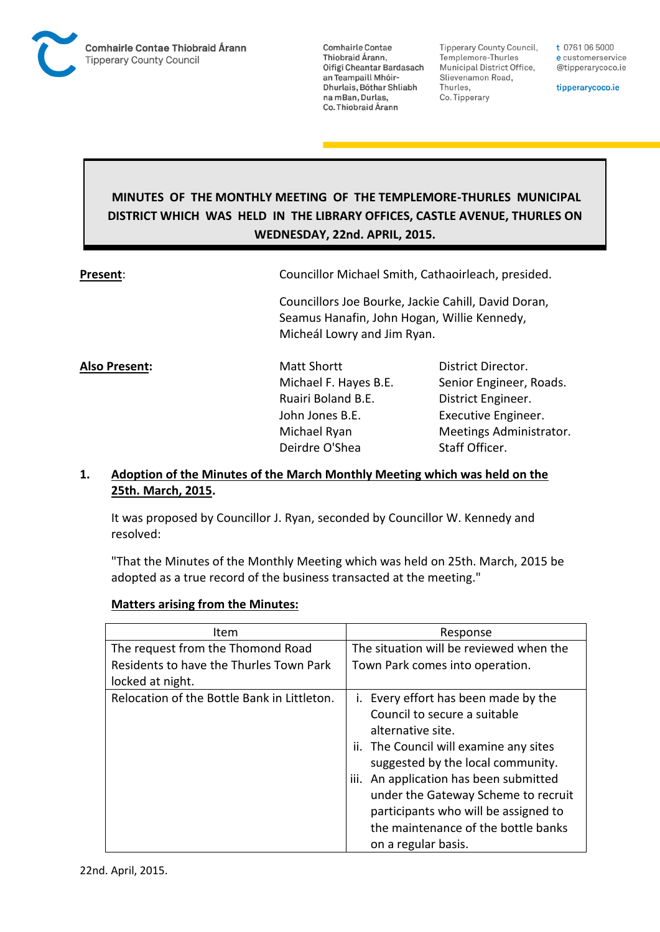

**Tipperary County Council,** Templemore-Thurles Municipal District Office, Slievenamon Road, Thurles, Co. Tipperary

t 0761 06 5000 e customerservice @tipperarycoco.ie

tipperarycoco.ie

# **MINUTES OF THE MONTHLY MEETING OF THE TEMPLEMORE-THURLES MUNICIPAL DISTRICT WHICH WAS HELD IN THE LIBRARY OFFICES, CASTLE AVENUE, THURLES ON WEDNESDAY, 22nd. APRIL, 2015.**

**Present**: Councillor Michael Smith, Cathaoirleach, presided.

Councillors Joe Bourke, Jackie Cahill, David Doran, Seamus Hanafin, John Hogan, Willie Kennedy, Micheál Lowry and Jim Ryan.

**Also Present:** Matt Shortt **District Director.** Ruairi Boland B.E. District Engineer. John Jones B.E. Executive Engineer. Deirdre O'Shea Staff Officer.

Michael F. Hayes B.E. Senior Engineer, Roads. Michael Ryan Meetings Administrator.

## **1. Adoption of the Minutes of the March Monthly Meeting which was held on the 25th. March, 2015.**

It was proposed by Councillor J. Ryan, seconded by Councillor W. Kennedy and resolved:

"That the Minutes of the Monthly Meeting which was held on 25th. March, 2015 be adopted as a true record of the business transacted at the meeting."

### **Matters arising from the Minutes:**

| Item                                        | Response                                                                                                                                                                                                                                                                                                                                                        |
|---------------------------------------------|-----------------------------------------------------------------------------------------------------------------------------------------------------------------------------------------------------------------------------------------------------------------------------------------------------------------------------------------------------------------|
| The request from the Thomond Road           | The situation will be reviewed when the                                                                                                                                                                                                                                                                                                                         |
| Residents to have the Thurles Town Park     | Town Park comes into operation.                                                                                                                                                                                                                                                                                                                                 |
| locked at night.                            |                                                                                                                                                                                                                                                                                                                                                                 |
| Relocation of the Bottle Bank in Littleton. | i. Every effort has been made by the<br>Council to secure a suitable<br>alternative site.<br>ii. The Council will examine any sites<br>suggested by the local community.<br>iii. An application has been submitted<br>under the Gateway Scheme to recruit<br>participants who will be assigned to<br>the maintenance of the bottle banks<br>on a regular basis. |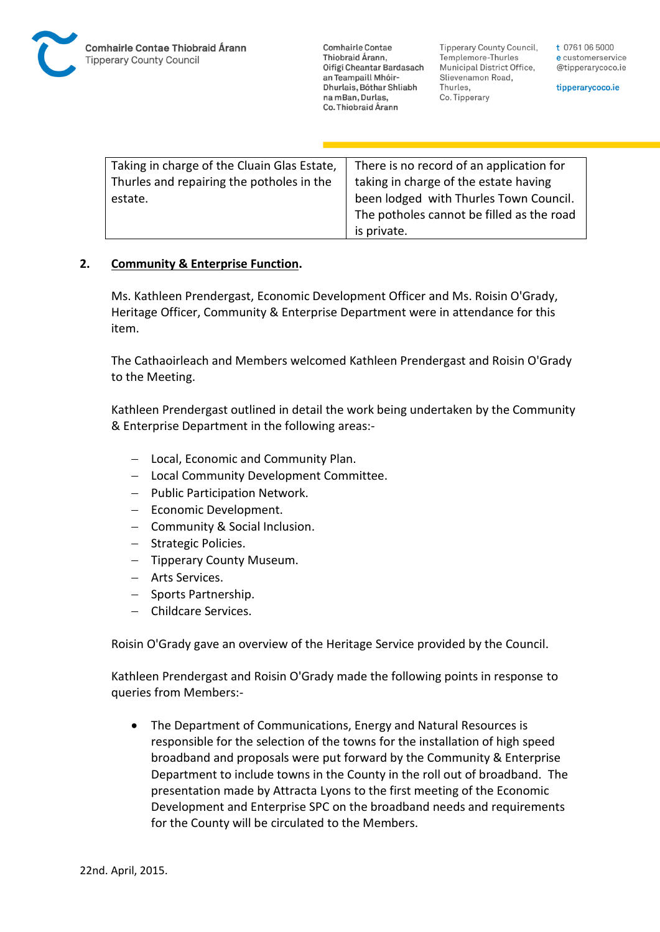Tipperary County Council. Templemore-Thurles Municipal District Office, Slievenamon Road, Thurles, Co. Tipperary

t 0761 06 5000 e customerservice @tipperarycoco.ie

tipperarycoco.ie

| Taking in charge of the Cluain Glas Estate, | There is no record of an application for  |
|---------------------------------------------|-------------------------------------------|
| Thurles and repairing the potholes in the   | taking in charge of the estate having     |
| estate.                                     | been lodged with Thurles Town Council.    |
|                                             | The potholes cannot be filled as the road |
|                                             | is private.                               |

#### **2. Community & Enterprise Function.**

Ms. Kathleen Prendergast, Economic Development Officer and Ms. Roisin O'Grady, Heritage Officer, Community & Enterprise Department were in attendance for this item.

The Cathaoirleach and Members welcomed Kathleen Prendergast and Roisin O'Grady to the Meeting.

Kathleen Prendergast outlined in detail the work being undertaken by the Community & Enterprise Department in the following areas:-

- Local, Economic and Community Plan.
- Local Community Development Committee.
- $-$  Public Participation Network.
- Economic Development.
- Community & Social Inclusion.
- Strategic Policies.
- Tipperary County Museum.
- Arts Services.
- Sports Partnership.
- Childcare Services.

Roisin O'Grady gave an overview of the Heritage Service provided by the Council.

Kathleen Prendergast and Roisin O'Grady made the following points in response to queries from Members:-

 The Department of Communications, Energy and Natural Resources is responsible for the selection of the towns for the installation of high speed broadband and proposals were put forward by the Community & Enterprise Department to include towns in the County in the roll out of broadband. The presentation made by Attracta Lyons to the first meeting of the Economic Development and Enterprise SPC on the broadband needs and requirements for the County will be circulated to the Members.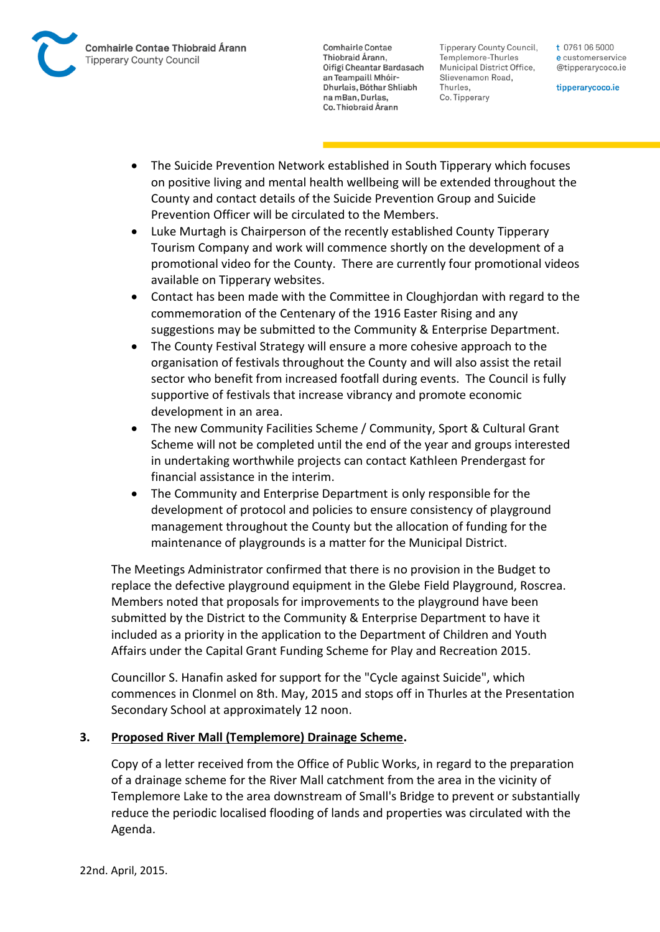

Tipperary County Council. Templemore-Thurles Municipal District Office, Slievenamon Road, Thurles, Co. Tipperary

t 0761 06 5000 e customerservice @tipperarycoco.ie

tipperarycoco.ie

- The Suicide Prevention Network established in South Tipperary which focuses on positive living and mental health wellbeing will be extended throughout the County and contact details of the Suicide Prevention Group and Suicide Prevention Officer will be circulated to the Members.
- Luke Murtagh is Chairperson of the recently established County Tipperary Tourism Company and work will commence shortly on the development of a promotional video for the County. There are currently four promotional videos available on Tipperary websites.
- Contact has been made with the Committee in Cloughjordan with regard to the commemoration of the Centenary of the 1916 Easter Rising and any suggestions may be submitted to the Community & Enterprise Department.
- The County Festival Strategy will ensure a more cohesive approach to the organisation of festivals throughout the County and will also assist the retail sector who benefit from increased footfall during events. The Council is fully supportive of festivals that increase vibrancy and promote economic development in an area.
- The new Community Facilities Scheme / Community, Sport & Cultural Grant Scheme will not be completed until the end of the year and groups interested in undertaking worthwhile projects can contact Kathleen Prendergast for financial assistance in the interim.
- The Community and Enterprise Department is only responsible for the development of protocol and policies to ensure consistency of playground management throughout the County but the allocation of funding for the maintenance of playgrounds is a matter for the Municipal District.

The Meetings Administrator confirmed that there is no provision in the Budget to replace the defective playground equipment in the Glebe Field Playground, Roscrea. Members noted that proposals for improvements to the playground have been submitted by the District to the Community & Enterprise Department to have it included as a priority in the application to the Department of Children and Youth Affairs under the Capital Grant Funding Scheme for Play and Recreation 2015.

Councillor S. Hanafin asked for support for the "Cycle against Suicide", which commences in Clonmel on 8th. May, 2015 and stops off in Thurles at the Presentation Secondary School at approximately 12 noon.

## **3. Proposed River Mall (Templemore) Drainage Scheme.**

Copy of a letter received from the Office of Public Works, in regard to the preparation of a drainage scheme for the River Mall catchment from the area in the vicinity of Templemore Lake to the area downstream of Small's Bridge to prevent or substantially reduce the periodic localised flooding of lands and properties was circulated with the Agenda.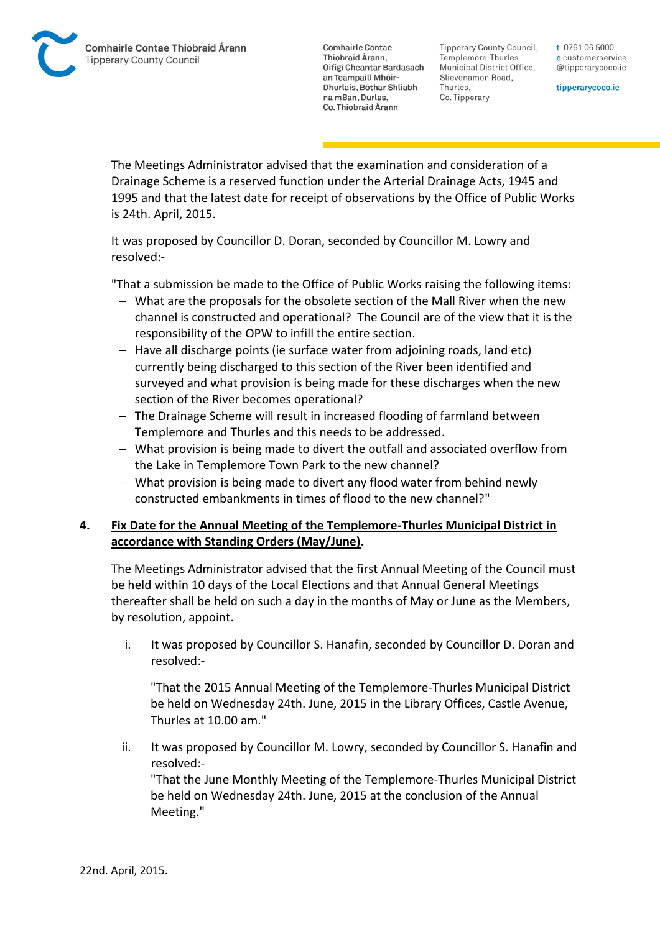Tipperary County Council. Templemore-Thurles Municipal District Office, Slievenamon Road, Thurles, Co. Tipperary

t 0761 06 5000 e customerservice @tipperarycoco.ie

tipperarycoco.ie

The Meetings Administrator advised that the examination and consideration of a Drainage Scheme is a reserved function under the Arterial Drainage Acts, 1945 and 1995 and that the latest date for receipt of observations by the Office of Public Works is 24th. April, 2015.

It was proposed by Councillor D. Doran, seconded by Councillor M. Lowry and resolved:-

"That a submission be made to the Office of Public Works raising the following items:

- What are the proposals for the obsolete section of the Mall River when the new channel is constructed and operational? The Council are of the view that it is the responsibility of the OPW to infill the entire section.
- Have all discharge points (ie surface water from adioining roads, land etc) currently being discharged to this section of the River been identified and surveyed and what provision is being made for these discharges when the new section of the River becomes operational?
- The Drainage Scheme will result in increased flooding of farmland between Templemore and Thurles and this needs to be addressed.
- What provision is being made to divert the outfall and associated overflow from the Lake in Templemore Town Park to the new channel?
- What provision is being made to divert any flood water from behind newly constructed embankments in times of flood to the new channel?"

## **4. Fix Date for the Annual Meeting of the Templemore-Thurles Municipal District in accordance with Standing Orders (May/June).**

The Meetings Administrator advised that the first Annual Meeting of the Council must be held within 10 days of the Local Elections and that Annual General Meetings thereafter shall be held on such a day in the months of May or June as the Members, by resolution, appoint.

i. It was proposed by Councillor S. Hanafin, seconded by Councillor D. Doran and resolved:-

"That the 2015 Annual Meeting of the Templemore-Thurles Municipal District be held on Wednesday 24th. June, 2015 in the Library Offices, Castle Avenue, Thurles at 10.00 am."

ii. It was proposed by Councillor M. Lowry, seconded by Councillor S. Hanafin and resolved:-

"That the June Monthly Meeting of the Templemore-Thurles Municipal District be held on Wednesday 24th. June, 2015 at the conclusion of the Annual Meeting."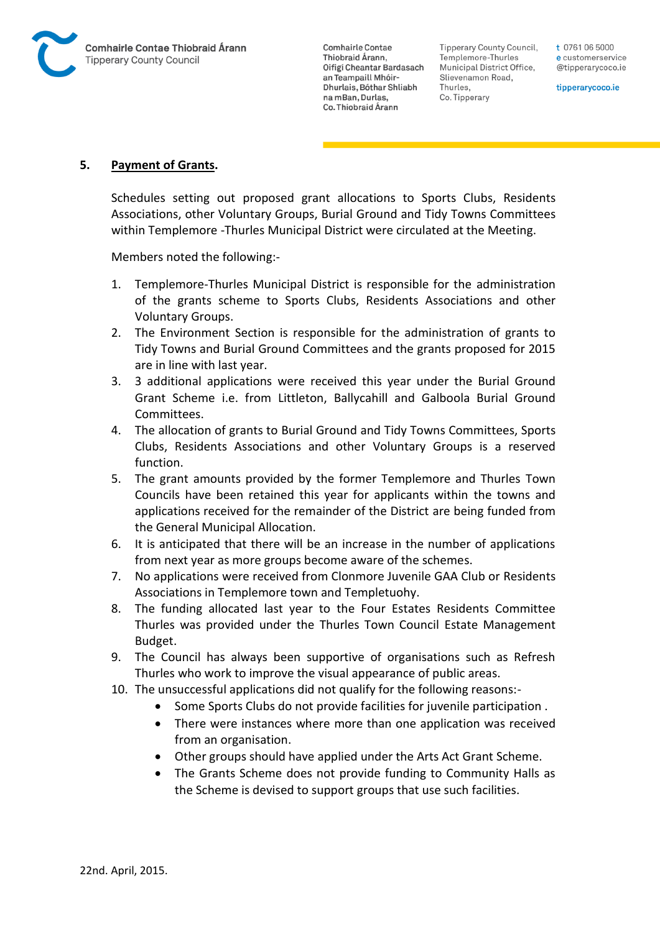

Tipperary County Council. Templemore-Thurles Municipal District Office, Slievenamon Road, Thurles, Co. Tipperary

t 0761 06 5000 e customerservice @tipperarycoco.ie

tipperarycoco.ie

### **5. Payment of Grants.**

Schedules setting out proposed grant allocations to Sports Clubs, Residents Associations, other Voluntary Groups, Burial Ground and Tidy Towns Committees within Templemore -Thurles Municipal District were circulated at the Meeting.

Members noted the following:-

- 1. Templemore-Thurles Municipal District is responsible for the administration of the grants scheme to Sports Clubs, Residents Associations and other Voluntary Groups.
- 2. The Environment Section is responsible for the administration of grants to Tidy Towns and Burial Ground Committees and the grants proposed for 2015 are in line with last year.
- 3. 3 additional applications were received this year under the Burial Ground Grant Scheme i.e. from Littleton, Ballycahill and Galboola Burial Ground Committees.
- 4. The allocation of grants to Burial Ground and Tidy Towns Committees, Sports Clubs, Residents Associations and other Voluntary Groups is a reserved function.
- 5. The grant amounts provided by the former Templemore and Thurles Town Councils have been retained this year for applicants within the towns and applications received for the remainder of the District are being funded from the General Municipal Allocation.
- 6. It is anticipated that there will be an increase in the number of applications from next year as more groups become aware of the schemes.
- 7. No applications were received from Clonmore Juvenile GAA Club or Residents Associations in Templemore town and Templetuohy.
- 8. The funding allocated last year to the Four Estates Residents Committee Thurles was provided under the Thurles Town Council Estate Management Budget.
- 9. The Council has always been supportive of organisations such as Refresh Thurles who work to improve the visual appearance of public areas.
- 10. The unsuccessful applications did not qualify for the following reasons:-
	- Some Sports Clubs do not provide facilities for juvenile participation .
	- There were instances where more than one application was received from an organisation.
	- Other groups should have applied under the Arts Act Grant Scheme.
	- The Grants Scheme does not provide funding to Community Halls as the Scheme is devised to support groups that use such facilities.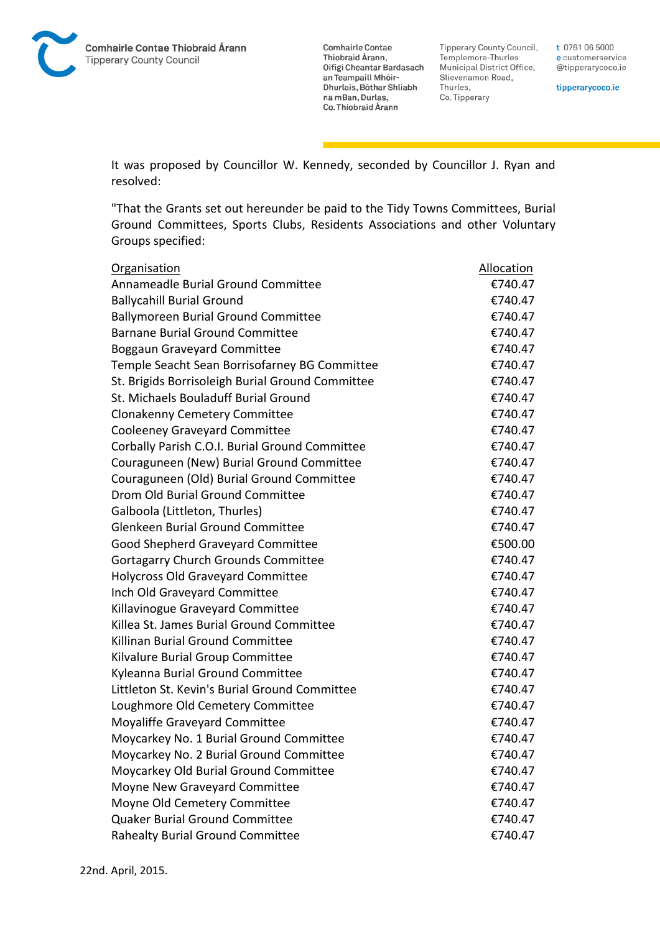

**Tipperary County Council,** Templemore-Thurles Municipal District Office, Slievenamon Road, Thurles, Co. Tipperary

t 0761 06 5000 e customerservice @tipperarycoco.ie

tipperarycoco.ie

It was proposed by Councillor W. Kennedy, seconded by Councillor J. Ryan and resolved:

"That the Grants set out hereunder be paid to the Tidy Towns Committees, Burial Ground Committees, Sports Clubs, Residents Associations and other Voluntary Groups specified:

| <b>Organisation</b>                              | Allocation |
|--------------------------------------------------|------------|
| Annameadle Burial Ground Committee               | €740.47    |
| <b>Ballycahill Burial Ground</b>                 | €740.47    |
| <b>Ballymoreen Burial Ground Committee</b>       | €740.47    |
| <b>Barnane Burial Ground Committee</b>           | €740.47    |
| <b>Boggaun Graveyard Committee</b>               | €740.47    |
| Temple Seacht Sean Borrisofarney BG Committee    | €740.47    |
| St. Brigids Borrisoleigh Burial Ground Committee | €740.47    |
| St. Michaels Bouladuff Burial Ground             | €740.47    |
| <b>Clonakenny Cemetery Committee</b>             | €740.47    |
| <b>Cooleeney Graveyard Committee</b>             | €740.47    |
| Corbally Parish C.O.I. Burial Ground Committee   | €740.47    |
| Couraguneen (New) Burial Ground Committee        | €740.47    |
| Couraguneen (Old) Burial Ground Committee        | €740.47    |
| Drom Old Burial Ground Committee                 | €740.47    |
| Galboola (Littleton, Thurles)                    | €740.47    |
| <b>Glenkeen Burial Ground Committee</b>          | €740.47    |
| Good Shepherd Graveyard Committee                | €500.00    |
| <b>Gortagarry Church Grounds Committee</b>       | €740.47    |
| <b>Holycross Old Graveyard Committee</b>         | €740.47    |
| Inch Old Graveyard Committee                     | €740.47    |
| Killavinogue Graveyard Committee                 | €740.47    |
| Killea St. James Burial Ground Committee         | €740.47    |
| Killinan Burial Ground Committee                 | €740.47    |
| Kilvalure Burial Group Committee                 | €740.47    |
| Kyleanna Burial Ground Committee                 | €740.47    |
| Littleton St. Kevin's Burial Ground Committee    | €740.47    |
| Loughmore Old Cemetery Committee                 | €740.47    |
| Moyaliffe Graveyard Committee                    | €740.47    |
| Moycarkey No. 1 Burial Ground Committee          | €740.47    |
| Moycarkey No. 2 Burial Ground Committee          | €740.47    |
| Moycarkey Old Burial Ground Committee            | €740.47    |
| Moyne New Graveyard Committee                    | €740.47    |
| Moyne Old Cemetery Committee                     | €740.47    |
| Quaker Burial Ground Committee                   | €740.47    |
| <b>Rahealty Burial Ground Committee</b>          | €740.47    |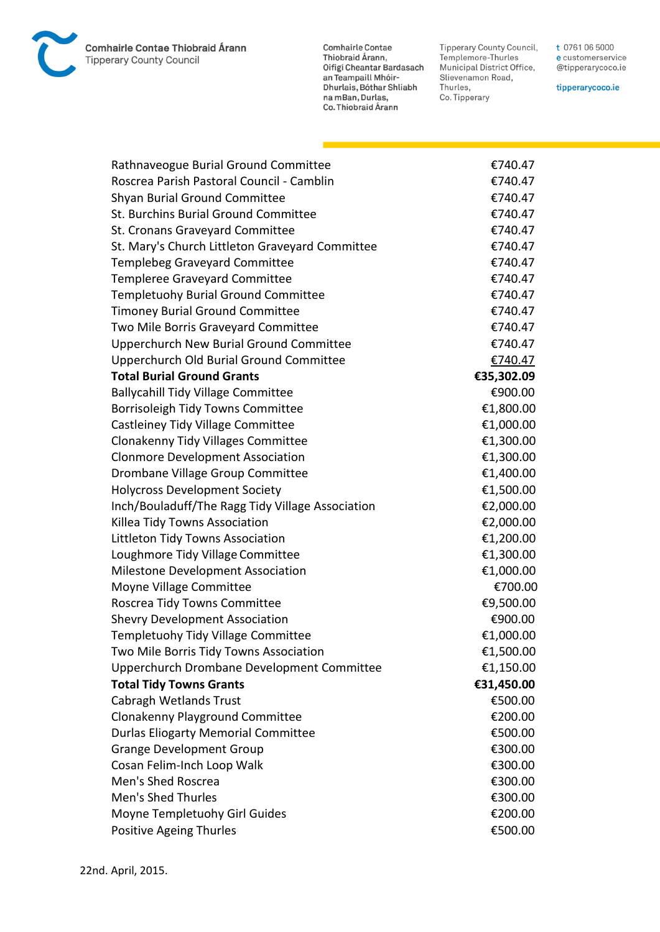**Comhairle Contae Thiobraid Árann Tipperary County Council** 

**Comhairle Contae** Commante Contae<br>Thiobraid Árann,<br>Oifigí Cheantar Bardasach an Teampaill Mhóir-Dhurlais, Bóthar Shliabh na mBan, Durlas,<br>Co. Thiobraid Árann

Tipperary County Council,<br>Templemore-Thurles<br>Municipal District Office, Slievenamon Road, Thurles, Co. Tipperary

t 0761 06 5000 e customerservice @tipperarycoco.ie

tipperarycoco.ie

| Rathnaveogue Burial Ground Committee             | €740.47    |
|--------------------------------------------------|------------|
| Roscrea Parish Pastoral Council - Camblin        | €740.47    |
| Shyan Burial Ground Committee                    | €740.47    |
| St. Burchins Burial Ground Committee             | €740.47    |
| St. Cronans Graveyard Committee                  | €740.47    |
| St. Mary's Church Littleton Graveyard Committee  | €740.47    |
| <b>Templebeg Graveyard Committee</b>             | €740.47    |
| Templeree Graveyard Committee                    | €740.47    |
| <b>Templetuohy Burial Ground Committee</b>       | €740.47    |
| <b>Timoney Burial Ground Committee</b>           | €740.47    |
| Two Mile Borris Graveyard Committee              | €740.47    |
| <b>Upperchurch New Burial Ground Committee</b>   | €740.47    |
| Upperchurch Old Burial Ground Committee          | €740.47    |
| <b>Total Burial Ground Grants</b>                | €35,302.09 |
| <b>Ballycahill Tidy Village Committee</b>        | €900.00    |
| Borrisoleigh Tidy Towns Committee                | €1,800.00  |
| Castleiney Tidy Village Committee                | €1,000.00  |
| <b>Clonakenny Tidy Villages Committee</b>        | €1,300.00  |
| <b>Clonmore Development Association</b>          | €1,300.00  |
| Drombane Village Group Committee                 | €1,400.00  |
| <b>Holycross Development Society</b>             | €1,500.00  |
| Inch/Bouladuff/The Ragg Tidy Village Association | €2,000.00  |
| Killea Tidy Towns Association                    | €2,000.00  |
| Littleton Tidy Towns Association                 | €1,200.00  |
| Loughmore Tidy Village Committee                 | €1,300.00  |
| Milestone Development Association                | €1,000.00  |
| Moyne Village Committee                          | €700.00    |
| Roscrea Tidy Towns Committee                     | €9,500.00  |
| <b>Shevry Development Association</b>            | €900.00    |
| Templetuohy Tidy Village Committee               | €1,000.00  |
| Two Mile Borris Tidy Towns Association           | €1,500.00  |
| Upperchurch Drombane Development Committee       | €1,150.00  |
| <b>Total Tidy Towns Grants</b>                   | €31,450.00 |
| Cabragh Wetlands Trust                           | €500.00    |
| <b>Clonakenny Playground Committee</b>           | €200.00    |
| <b>Durlas Eliogarty Memorial Committee</b>       | €500.00    |
| <b>Grange Development Group</b>                  | €300.00    |
| Cosan Felim-Inch Loop Walk                       | €300.00    |
| Men's Shed Roscrea                               | €300.00    |
| <b>Men's Shed Thurles</b>                        | €300.00    |
| Moyne Templetuohy Girl Guides                    | €200.00    |
| <b>Positive Ageing Thurles</b>                   | €500.00    |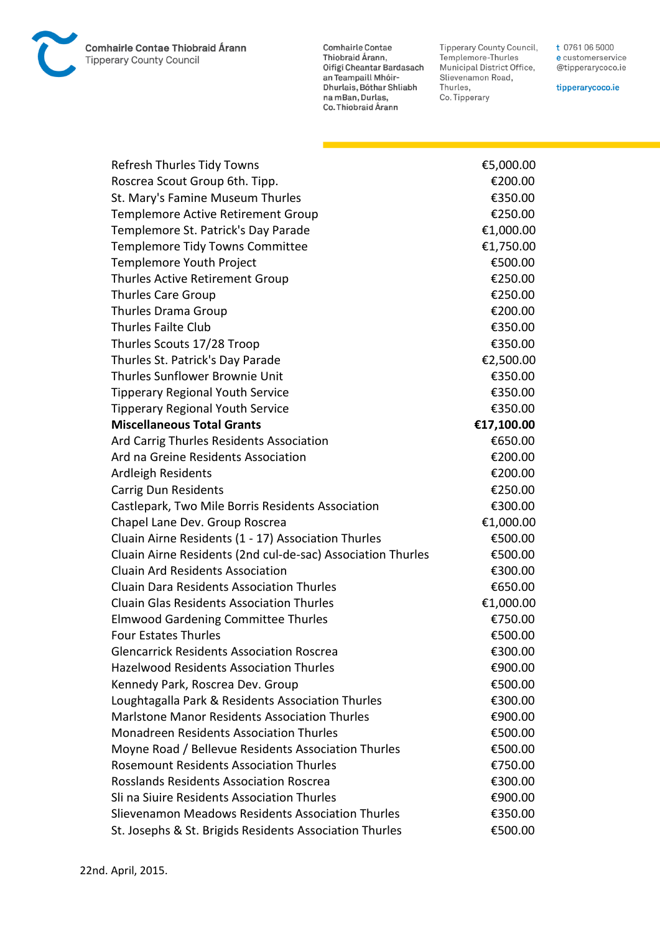**Comhairle Contae Thiobraid Árann Tipperary County Council** 

**Comhairle Contae** Commante Contae<br>Thiobraid Árann,<br>Oifigí Cheantar Bardasach an Teampaill Mhóir-Dhurlais, Bóthar Shliabh na mBan, Durlas,<br>Co. Thiobraid Árann

Tipperary County Council,<br>Templemore-Thurles<br>Municipal District Office, Slievenamon Road, Thurles, Co. Tipperary

t 0761 06 5000 e customerservice @tipperarycoco.ie

tipperarycoco.ie

| Refresh Thurles Tidy Towns                                  | €5,000.00  |
|-------------------------------------------------------------|------------|
| Roscrea Scout Group 6th. Tipp.                              | €200.00    |
| St. Mary's Famine Museum Thurles                            | €350.00    |
| Templemore Active Retirement Group                          | €250.00    |
| Templemore St. Patrick's Day Parade                         | €1,000.00  |
| Templemore Tidy Towns Committee                             | €1,750.00  |
| Templemore Youth Project                                    | €500.00    |
| Thurles Active Retirement Group                             | €250.00    |
| <b>Thurles Care Group</b>                                   | €250.00    |
| Thurles Drama Group                                         | €200.00    |
| <b>Thurles Failte Club</b>                                  | €350.00    |
| Thurles Scouts 17/28 Troop                                  | €350.00    |
| Thurles St. Patrick's Day Parade                            | €2,500.00  |
| Thurles Sunflower Brownie Unit                              | €350.00    |
| <b>Tipperary Regional Youth Service</b>                     | €350.00    |
| <b>Tipperary Regional Youth Service</b>                     | €350.00    |
| <b>Miscellaneous Total Grants</b>                           | €17,100.00 |
| Ard Carrig Thurles Residents Association                    | €650.00    |
| Ard na Greine Residents Association                         | €200.00    |
| Ardleigh Residents                                          | €200.00    |
| Carrig Dun Residents                                        | €250.00    |
| Castlepark, Two Mile Borris Residents Association           | €300.00    |
| Chapel Lane Dev. Group Roscrea                              | €1,000.00  |
| Cluain Airne Residents (1 - 17) Association Thurles         | €500.00    |
| Cluain Airne Residents (2nd cul-de-sac) Association Thurles | €500.00    |
| <b>Cluain Ard Residents Association</b>                     | €300.00    |
| <b>Cluain Dara Residents Association Thurles</b>            | €650.00    |
| <b>Cluain Glas Residents Association Thurles</b>            | €1,000.00  |
| <b>Elmwood Gardening Committee Thurles</b>                  | €750.00    |
| <b>Four Estates Thurles</b>                                 | €500.00    |
| <b>Glencarrick Residents Association Roscrea</b>            | €300.00    |
| <b>Hazelwood Residents Association Thurles</b>              | €900.00    |
| Kennedy Park, Roscrea Dev. Group                            | €500.00    |
| Loughtagalla Park & Residents Association Thurles           | €300.00    |
| Marlstone Manor Residents Association Thurles               | €900.00    |
| <b>Monadreen Residents Association Thurles</b>              | €500.00    |
| Moyne Road / Bellevue Residents Association Thurles         | €500.00    |
| <b>Rosemount Residents Association Thurles</b>              | €750.00    |
| <b>Rosslands Residents Association Roscrea</b>              | €300.00    |
| Sli na Siuire Residents Association Thurles                 | €900.00    |
| Slievenamon Meadows Residents Association Thurles           | €350.00    |
| St. Josephs & St. Brigids Residents Association Thurles     | €500.00    |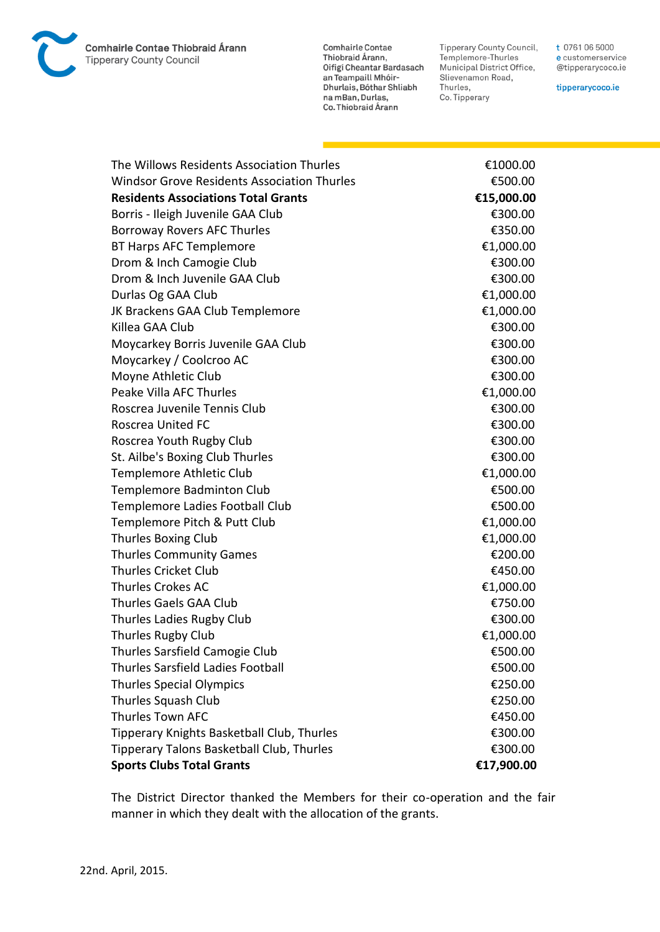Comhairle Contae Thiobraid Árann **Tipperary County Council** 

**Comhairle Contae** Thiobraid Árann,<br>Oifigí Cheantar Bardasach an Teampaill Mhóir-Dhurlais, Bóthar Shliabh na mBan, Durlas, Co. Thiobraid Árann

Tipperary County Council,<br>Templemore-Thurles Municipal District Office, Slievenamon Road, Thurles, Co. Tipperary

t 0761 06 5000 e customerservice @tipperarycoco.ie

tipperarycoco.ie

| The Willows Residents Association Thurles          | €1000.00   |
|----------------------------------------------------|------------|
| <b>Windsor Grove Residents Association Thurles</b> | €500.00    |
| <b>Residents Associations Total Grants</b>         | €15,000.00 |
| Borris - Ileigh Juvenile GAA Club                  | €300.00    |
| Borroway Rovers AFC Thurles                        | €350.00    |
| <b>BT Harps AFC Templemore</b>                     | €1,000.00  |
| Drom & Inch Camogie Club                           | €300.00    |
| Drom & Inch Juvenile GAA Club                      | €300.00    |
| Durlas Og GAA Club                                 | €1,000.00  |
| JK Brackens GAA Club Templemore                    | €1,000.00  |
| Killea GAA Club                                    | €300.00    |
| Moycarkey Borris Juvenile GAA Club                 | €300.00    |
| Moycarkey / Coolcroo AC                            | €300.00    |
| Moyne Athletic Club                                | €300.00    |
| Peake Villa AFC Thurles                            | €1,000.00  |
| Roscrea Juvenile Tennis Club                       | €300.00    |
| Roscrea United FC                                  | €300.00    |
| Roscrea Youth Rugby Club                           | €300.00    |
| St. Ailbe's Boxing Club Thurles                    | €300.00    |
| <b>Templemore Athletic Club</b>                    | €1,000.00  |
| <b>Templemore Badminton Club</b>                   | €500.00    |
| Templemore Ladies Football Club                    | €500.00    |
| Templemore Pitch & Putt Club                       | €1,000.00  |
| <b>Thurles Boxing Club</b>                         | €1,000.00  |
| <b>Thurles Community Games</b>                     | €200.00    |
| <b>Thurles Cricket Club</b>                        | €450.00    |
| <b>Thurles Crokes AC</b>                           | €1,000.00  |
| Thurles Gaels GAA Club                             | €750.00    |
| Thurles Ladies Rugby Club                          | €300.00    |
| Thurles Rugby Club                                 | €1,000.00  |
| Thurles Sarsfield Camogie Club                     | €500.00    |
| Thurles Sarsfield Ladies Football                  | €500.00    |
| <b>Thurles Special Olympics</b>                    | €250.00    |
| Thurles Squash Club                                | €250.00    |
| <b>Thurles Town AFC</b>                            | €450.00    |
| Tipperary Knights Basketball Club, Thurles         | €300.00    |
| Tipperary Talons Basketball Club, Thurles          | €300.00    |
| <b>Sports Clubs Total Grants</b>                   | €17,900.00 |

The District Director thanked the Members for their co-operation and the fair manner in which they dealt with the allocation of the grants.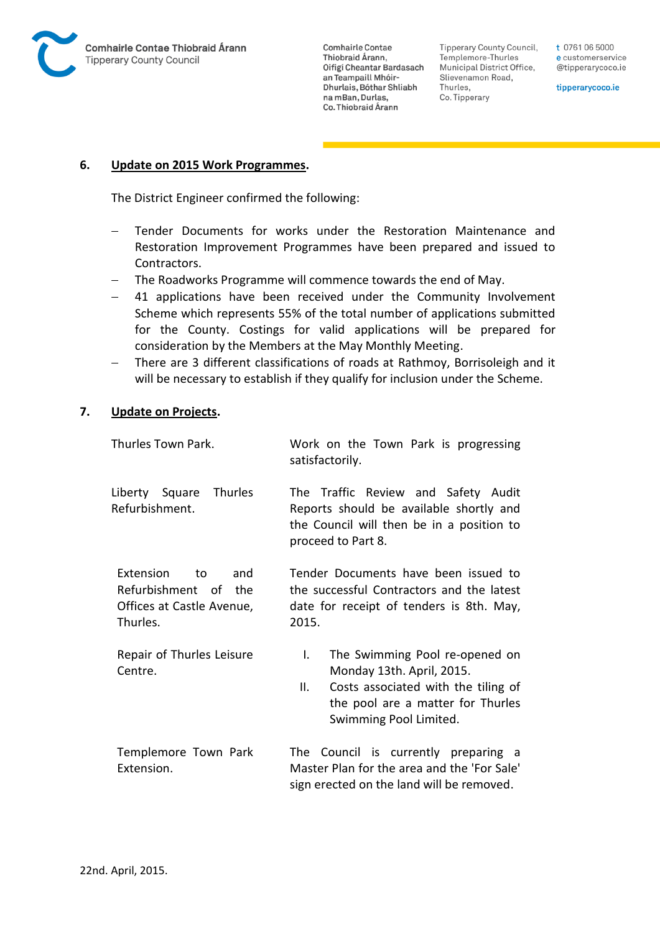

Tipperary County Council, Templemore-Thurles Municipal District Office, Slievenamon Road, Thurles, Co. Tipperary

t 0761 06 5000 e customerservice @tipperarycoco.ie

tipperarycoco.ie

#### **6. Update on 2015 Work Programmes.**

The District Engineer confirmed the following:

- Tender Documents for works under the Restoration Maintenance and Restoration Improvement Programmes have been prepared and issued to Contractors.
- The Roadworks Programme will commence towards the end of May.
- 41 applications have been received under the Community Involvement Scheme which represents 55% of the total number of applications submitted for the County. Costings for valid applications will be prepared for consideration by the Members at the May Monthly Meeting.
- There are 3 different classifications of roads at Rathmoy, Borrisoleigh and it will be necessary to establish if they qualify for inclusion under the Scheme.

#### **7. Update on Projects.**

| Thurles Town Park.                                                                             | Work on the Town Park is progressing<br>satisfactorily.                                                                                                                       |
|------------------------------------------------------------------------------------------------|-------------------------------------------------------------------------------------------------------------------------------------------------------------------------------|
| Liberty Square Thurles<br>Refurbishment.                                                       | The Traffic Review and Safety Audit<br>Reports should be available shortly and<br>the Council will then be in a position to<br>proceed to Part 8.                             |
| <b>Extension</b><br>to<br>and<br>Refurbishment of the<br>Offices at Castle Avenue,<br>Thurles. | Tender Documents have been issued to<br>the successful Contractors and the latest<br>date for receipt of tenders is 8th. May,<br>2015.                                        |
| Repair of Thurles Leisure<br>Centre.                                                           | The Swimming Pool re-opened on<br>L.<br>Monday 13th. April, 2015.<br>Costs associated with the tiling of<br>Ш.<br>the pool are a matter for Thurles<br>Swimming Pool Limited. |
| Templemore Town Park<br>Extension.                                                             | The Council is currently preparing a<br>Master Plan for the area and the 'For Sale'<br>sign erected on the land will be removed.                                              |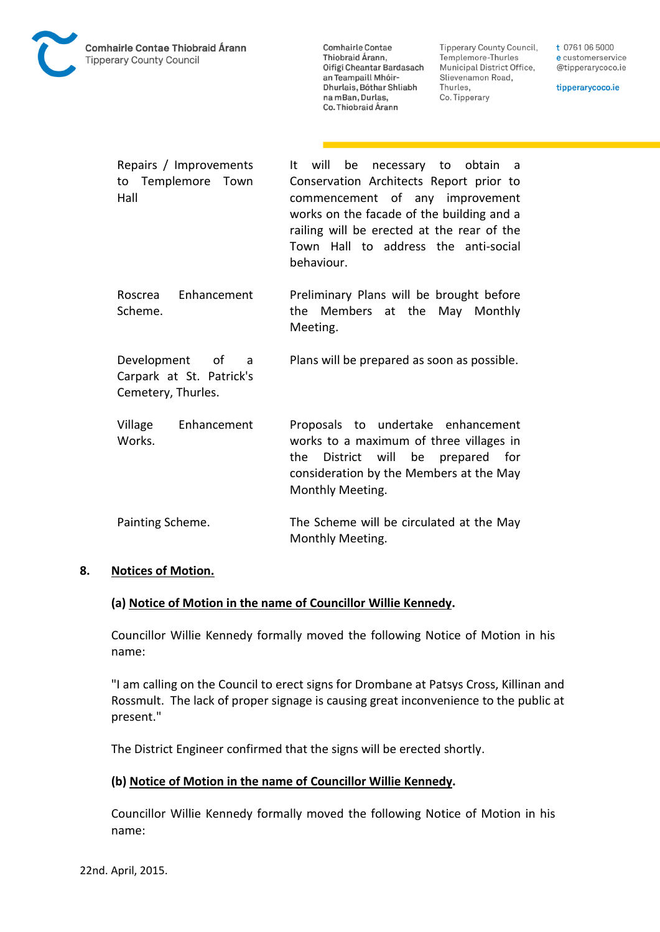

**Tipperary County Council,** Templemore-Thurles Municipal District Office, Slievenamon Road, Thurles, Co. Tipperary

t 0761 06 5000 e customerservice @tipperarycoco.ie

tipperarycoco.ie

| Repairs / Improvements<br>Templemore<br>Town<br>to<br>Hall            | will<br>be necessary to obtain<br>It<br>- a<br>Conservation Architects Report prior to<br>commencement of any improvement<br>works on the facade of the building and a<br>railing will be erected at the rear of the<br>Town Hall to address the anti-social<br>behaviour. |
|-----------------------------------------------------------------------|----------------------------------------------------------------------------------------------------------------------------------------------------------------------------------------------------------------------------------------------------------------------------|
| Enhancement<br>Roscrea<br>Scheme.                                     | Preliminary Plans will be brought before<br>the Members at the May Monthly<br>Meeting.                                                                                                                                                                                     |
| Development of<br>a<br>Carpark at St. Patrick's<br>Cemetery, Thurles. | Plans will be prepared as soon as possible.                                                                                                                                                                                                                                |
| Enhancement<br>Village<br>Works.                                      | Proposals to undertake enhancement<br>works to a maximum of three villages in<br>will<br>District<br>be prepared for<br>the.<br>consideration by the Members at the May<br>Monthly Meeting.                                                                                |
| Painting Scheme.                                                      | The Scheme will be circulated at the May<br>Monthly Meeting.                                                                                                                                                                                                               |

### **8. Notices of Motion.**

### **(a) Notice of Motion in the name of Councillor Willie Kennedy.**

Councillor Willie Kennedy formally moved the following Notice of Motion in his name:

"I am calling on the Council to erect signs for Drombane at Patsys Cross, Killinan and Rossmult. The lack of proper signage is causing great inconvenience to the public at present."

The District Engineer confirmed that the signs will be erected shortly.

### **(b) Notice of Motion in the name of Councillor Willie Kennedy.**

Councillor Willie Kennedy formally moved the following Notice of Motion in his name: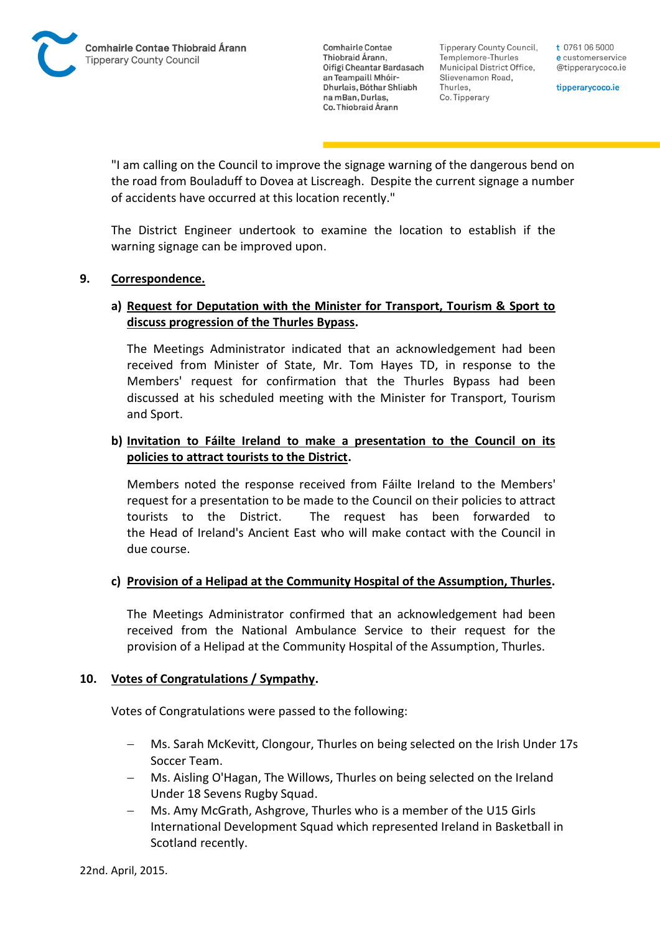**Tipperary County Council,** Templemore-Thurles Municipal District Office, Slievenamon Road, Thurles, Co. Tipperary

t 0761 06 5000 e customerservice @tipperarycoco.ie

tipperarycoco.ie

"I am calling on the Council to improve the signage warning of the dangerous bend on the road from Bouladuff to Dovea at Liscreagh. Despite the current signage a number of accidents have occurred at this location recently."

The District Engineer undertook to examine the location to establish if the warning signage can be improved upon.

### **9. Correspondence.**

## **a) Request for Deputation with the Minister for Transport, Tourism & Sport to discuss progression of the Thurles Bypass.**

The Meetings Administrator indicated that an acknowledgement had been received from Minister of State, Mr. Tom Hayes TD, in response to the Members' request for confirmation that the Thurles Bypass had been discussed at his scheduled meeting with the Minister for Transport, Tourism and Sport.

## **b) Invitation to Fáilte Ireland to make a presentation to the Council on its policies to attract tourists to the District.**

Members noted the response received from Fáilte Ireland to the Members' request for a presentation to be made to the Council on their policies to attract tourists to the District. The request has been forwarded to the Head of Ireland's Ancient East who will make contact with the Council in due course.

## **c) Provision of a Helipad at the Community Hospital of the Assumption, Thurles.**

The Meetings Administrator confirmed that an acknowledgement had been received from the National Ambulance Service to their request for the provision of a Helipad at the Community Hospital of the Assumption, Thurles.

### **10. Votes of Congratulations / Sympathy.**

Votes of Congratulations were passed to the following:

- Ms. Sarah McKevitt, Clongour, Thurles on being selected on the Irish Under 17s Soccer Team.
- Ms. Aisling O'Hagan, The Willows, Thurles on being selected on the Ireland Under 18 Sevens Rugby Squad.
- Ms. Amy McGrath, Ashgrove, Thurles who is a member of the U15 Girls International Development Squad which represented Ireland in Basketball in Scotland recently.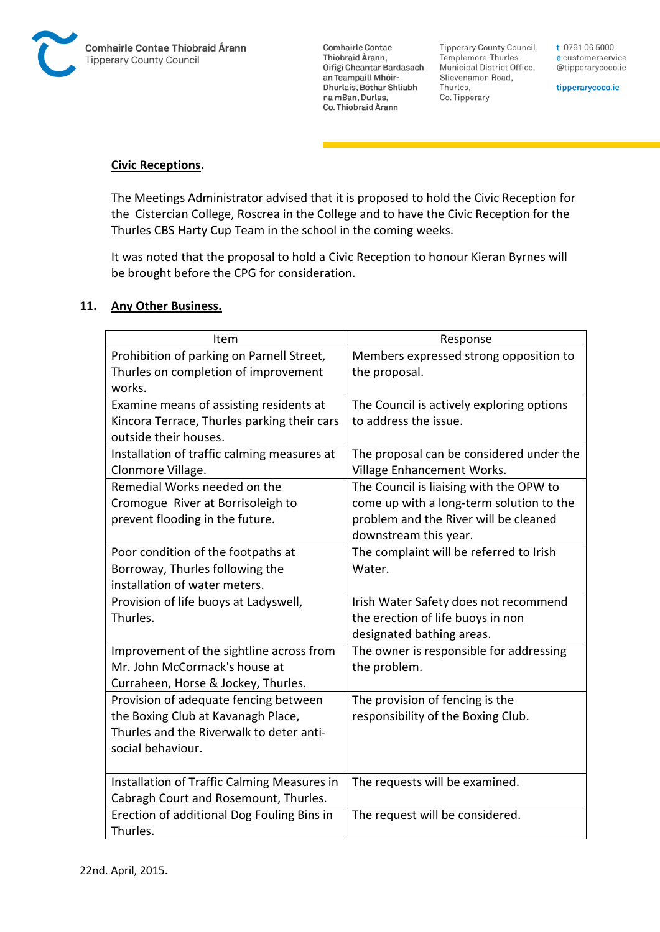

**Tipperary County Council,** Templemore-Thurles Municipal District Office, Slievenamon Road, Thurles, Co. Tipperary

t 0761 06 5000 e customerservice @tipperarycoco.ie

tipperarycoco.ie

### **Civic Receptions.**

The Meetings Administrator advised that it is proposed to hold the Civic Reception for the Cistercian College, Roscrea in the College and to have the Civic Reception for the Thurles CBS Harty Cup Team in the school in the coming weeks.

It was noted that the proposal to hold a Civic Reception to honour Kieran Byrnes will be brought before the CPG for consideration.

### **11. Any Other Business.**

| Item                                        | Response                                  |
|---------------------------------------------|-------------------------------------------|
| Prohibition of parking on Parnell Street,   | Members expressed strong opposition to    |
| Thurles on completion of improvement        | the proposal.                             |
| works.                                      |                                           |
| Examine means of assisting residents at     | The Council is actively exploring options |
| Kincora Terrace, Thurles parking their cars | to address the issue.                     |
| outside their houses.                       |                                           |
| Installation of traffic calming measures at | The proposal can be considered under the  |
| Clonmore Village.                           | Village Enhancement Works.                |
| Remedial Works needed on the                | The Council is liaising with the OPW to   |
| Cromogue River at Borrisoleigh to           | come up with a long-term solution to the  |
| prevent flooding in the future.             | problem and the River will be cleaned     |
|                                             | downstream this year.                     |
| Poor condition of the footpaths at          | The complaint will be referred to Irish   |
| Borroway, Thurles following the             | Water.                                    |
| installation of water meters.               |                                           |
| Provision of life buoys at Ladyswell,       | Irish Water Safety does not recommend     |
| Thurles.                                    | the erection of life buoys in non         |
|                                             | designated bathing areas.                 |
| Improvement of the sightline across from    | The owner is responsible for addressing   |
| Mr. John McCormack's house at               | the problem.                              |
| Curraheen, Horse & Jockey, Thurles.         |                                           |
| Provision of adequate fencing between       | The provision of fencing is the           |
| the Boxing Club at Kavanagh Place,          | responsibility of the Boxing Club.        |
| Thurles and the Riverwalk to deter anti-    |                                           |
| social behaviour.                           |                                           |
|                                             |                                           |
| Installation of Traffic Calming Measures in | The requests will be examined.            |
| Cabragh Court and Rosemount, Thurles.       |                                           |
| Erection of additional Dog Fouling Bins in  | The request will be considered.           |
| Thurles.                                    |                                           |